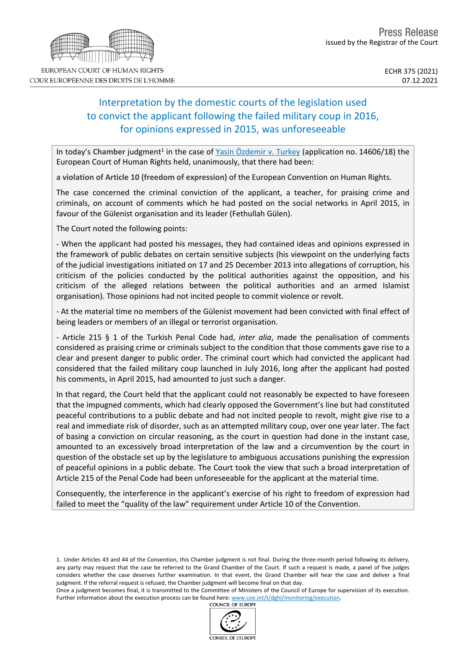# Interpretation by the domestic courts of the legislation used to convict the applicant following the failed military coup in 2016, for opinions expressed in 2015, was unforeseeable

In today's Chamber judgment<sup>1</sup> in the case of Yasin [Özdemir](https://hudoc.echr.coe.int/eng?i=001-213773) v. Turkey (application no. 14606/18) the European Court of Human Rights held, unanimously, that there had been:

**a violation of Article 10 (freedom of expression)** of the European Convention on Human Rights.

The case concerned the criminal conviction of the applicant, a teacher, for praising crime and criminals, on account of comments which he had posted on the social networks in April 2015, in favour of the Gülenist organisation and its leader (Fethullah Gülen).

The Court noted the following points:

- When the applicant had posted his messages, they had contained ideas and opinions expressed in the framework of public debates on certain sensitive subjects (his viewpoint on the underlying facts of the judicial investigations initiated on 17 and 25 December 2013 into allegations of corruption, his criticism of the policies conducted by the political authorities against the opposition, and his criticism of the alleged relations between the political authorities and an armed Islamist organisation). Those opinions had not incited people to commit violence or revolt.

- At the material time no members of the Gülenist movement had been convicted with final effect of being leaders or members of an illegal or terrorist organisation.

- Article 215 § 1 of the Turkish Penal Code had, *inter alia*, made the penalisation of comments considered as praising crime or criminals subject to the condition that those comments gave rise to a clear and present danger to public order. The criminal court which had convicted the applicant had considered that the failed military coup launched in July 2016, long after the applicant had posted his comments, in April 2015, had amounted to just such a danger.

In that regard, the Court held that the applicant could not reasonably be expected to have foreseen that the impugned comments, which had clearly opposed the Government's line but had constituted peaceful contributions to a public debate and had not incited people to revolt, might give rise to a real and immediate risk of disorder, such as an attempted military coup, over one year later. The fact of basing a conviction on circular reasoning, as the court in question had done in the instant case, amounted to an excessively broad interpretation of the law and a circumvention by the court in question of the obstacle set up by the legislature to ambiguous accusations punishing the expression of peaceful opinions in a public debate. The Court took the view that such a broad interpretation of Article 215 of the Penal Code had been unforeseeable for the applicant at the material time.

Consequently, the interference in the applicant's exercise of his right to freedom of expression had failed to meet the "quality of the law" requirement under Article 10 of the Convention.

1. Under Articles 43 and 44 of the Convention, this Chamber judgment is not final. During the three-month period following its delivery, any party may request that the case be referred to the Grand Chamber of the Court. If such a request is made, a panel of five judges considers whether the case deserves further examination. In that event, the Grand Chamber will hear the case and deliver a final judgment. If the referral request is refused, the Chamber judgment will become final on that day.

Once a judgment becomes final, it is transmitted to the Committee of Ministers of the Council of Europe for supervision of its execution. Further information about the execution process can be found here: [www.coe.int/t/dghl/monitoring/execution](http://www.coe.int/t/dghl/monitoring/execution).<br>COUNCIL OF EUROPE





COUR EUROPÉENNE DES DROITS DE L'HOMME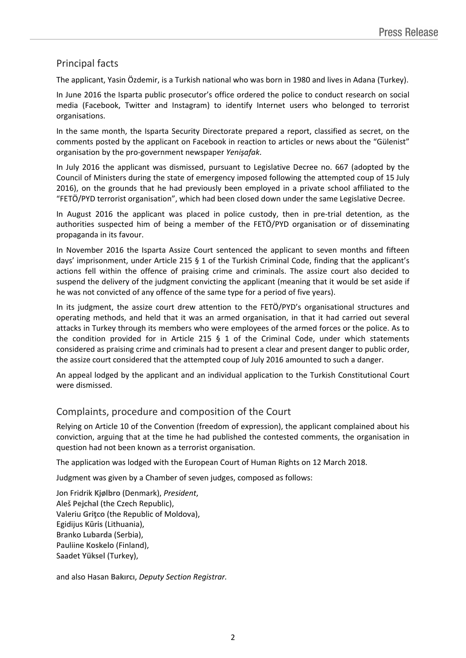## Principal facts

The applicant, Yasin Özdemir, is a Turkish national who was born in 1980 and lives in Adana (Turkey).

In June 2016 the Isparta public prosecutor's office ordered the police to conduct research on social media (Facebook, Twitter and Instagram) to identify Internet users who belonged to terrorist organisations.

In the same month, the Isparta Security Directorate prepared a report, classified as secret, on the comments posted by the applicant on Facebook in reaction to articles or news about the "Gülenist" organisation by the pro-government newspaper *Yenişafak*.

In July 2016 the applicant was dismissed, pursuant to Legislative Decree no. 667 (adopted by the Council of Ministers during the state of emergency imposed following the attempted coup of 15 July 2016), on the grounds that he had previously been employed in a private school affiliated to the "FETÖ/PYD terrorist organisation", which had been closed down under the same Legislative Decree.

In August 2016 the applicant was placed in police custody, then in pre-trial detention, as the authorities suspected him of being a member of the FETÖ/PYD organisation or of disseminating propaganda in its favour.

In November 2016 the Isparta Assize Court sentenced the applicant to seven months and fifteen days' imprisonment, under Article 215 § 1 of the Turkish Criminal Code, finding that the applicant's actions fell within the offence of praising crime and criminals. The assize court also decided to suspend the delivery of the judgment convicting the applicant (meaning that it would be set aside if he was not convicted of any offence of the same type for a period of five years).

In its judgment, the assize court drew attention to the FETÖ/PYD's organisational structures and operating methods, and held that it was an armed organisation, in that it had carried out several attacks in Turkey through its members who were employees of the armed forces or the police. As to the condition provided for in Article 215  $\S$  1 of the Criminal Code, under which statements considered as praising crime and criminals had to present a clear and present danger to public order, the assize court considered that the attempted coup of July 2016 amounted to such a danger.

An appeal lodged by the applicant and an individual application to the Turkish Constitutional Court were dismissed.

### Complaints, procedure and composition of the Court

Relying on Article 10 of the Convention (freedom of expression), the applicant complained about his conviction, arguing that at the time he had published the contested comments, the organisation in question had not been known as a terrorist organisation.

The application was lodged with the European Court of Human Rights on 12 March 2018.

Judgment was given by a Chamber of seven judges, composed as follows:

Jon Fridrik **Kjølbro** (Denmark), *President*, Aleš **Pejchal** (the Czech Republic), Valeriu **Griţco** (the Republic of Moldova), Egidijus **Kūris** (Lithuania), Branko **Lubarda** (Serbia), Pauliine **Koskelo** (Finland), Saadet **Yüksel** (Turkey),

and also Hasan **Bakırcı**, *Deputy Section Registrar.*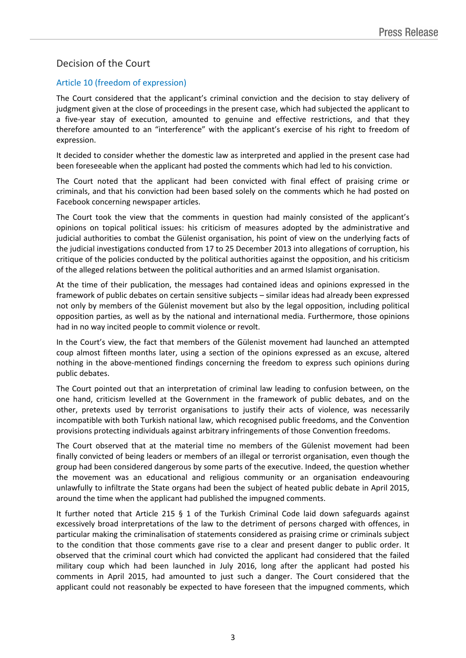## Decision of the Court

### Article 10 (freedom of expression)

The Court considered that the applicant's criminal conviction and the decision to stay delivery of judgment given at the close of proceedings in the present case, which had subjected the applicant to a five-year stay of execution, amounted to genuine and effective restrictions, and that they therefore amounted to an "interference" with the applicant's exercise of his right to freedom of expression.

It decided to consider whether the domestic law as interpreted and applied in the present case had been foreseeable when the applicant had posted the comments which had led to his conviction.

The Court noted that the applicant had been convicted with final effect of praising crime or criminals, and that his conviction had been based solely on the comments which he had posted on Facebook concerning newspaper articles.

The Court took the view that the comments in question had mainly consisted of the applicant's opinions on topical political issues: his criticism of measures adopted by the administrative and judicial authorities to combat the Gülenist organisation, his point of view on the underlying facts of the judicial investigations conducted from 17 to 25 December 2013 into allegations of corruption, his critique of the policies conducted by the political authorities against the opposition, and his criticism of the alleged relations between the political authorities and an armed Islamist organisation.

At the time of their publication, the messages had contained ideas and opinions expressed in the framework of public debates on certain sensitive subjects – similar ideas had already been expressed not only by members of the Gülenist movement but also by the legal opposition, including political opposition parties, as well as by the national and international media. Furthermore, those opinions had in no way incited people to commit violence or revolt.

In the Court's view, the fact that members of the Gülenist movement had launched an attempted coup almost fifteen months later, using a section of the opinions expressed as an excuse, altered nothing in the above-mentioned findings concerning the freedom to express such opinions during public debates.

The Court pointed out that an interpretation of criminal law leading to confusion between, on the one hand, criticism levelled at the Government in the framework of public debates, and on the other, pretexts used by terrorist organisations to justify their acts of violence, was necessarily incompatible with both Turkish national law, which recognised public freedoms, and the Convention provisions protecting individuals against arbitrary infringements of those Convention freedoms.

The Court observed that at the material time no members of the Gülenist movement had been finally convicted of being leaders or members of an illegal or terrorist organisation, even though the group had been considered dangerous by some parts of the executive. Indeed, the question whether the movement was an educational and religious community or an organisation endeavouring unlawfully to infiltrate the State organs had been the subject of heated public debate in April 2015, around the time when the applicant had published the impugned comments.

It further noted that Article 215 § 1 of the Turkish Criminal Code laid down safeguards against excessively broad interpretations of the law to the detriment of persons charged with offences, in particular making the criminalisation of statements considered as praising crime or criminals subject to the condition that those comments gave rise to a clear and present danger to public order. It observed that the criminal court which had convicted the applicant had considered that the failed military coup which had been launched in July 2016, long after the applicant had posted his comments in April 2015, had amounted to just such a danger. The Court considered that the applicant could not reasonably be expected to have foreseen that the impugned comments, which